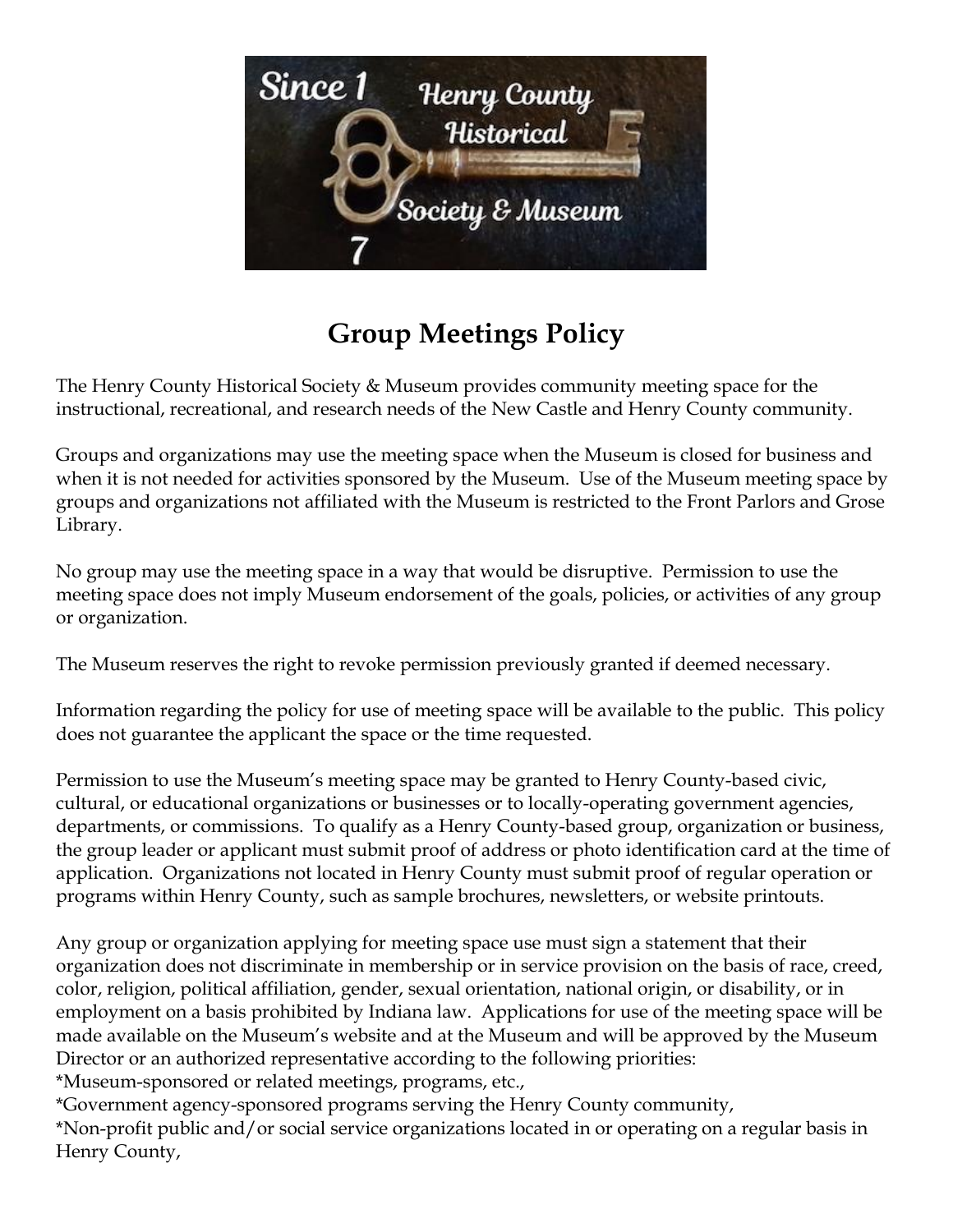

## **Group Meetings Policy**

The Henry County Historical Society & Museum provides community meeting space for the instructional, recreational, and research needs of the New Castle and Henry County community.

Groups and organizations may use the meeting space when the Museum is closed for business and when it is not needed for activities sponsored by the Museum. Use of the Museum meeting space by groups and organizations not affiliated with the Museum is restricted to the Front Parlors and Grose Library.

No group may use the meeting space in a way that would be disruptive. Permission to use the meeting space does not imply Museum endorsement of the goals, policies, or activities of any group or organization.

The Museum reserves the right to revoke permission previously granted if deemed necessary.

Information regarding the policy for use of meeting space will be available to the public. This policy does not guarantee the applicant the space or the time requested.

Permission to use the Museum's meeting space may be granted to Henry County-based civic, cultural, or educational organizations or businesses or to locally-operating government agencies, departments, or commissions. To qualify as a Henry County-based group, organization or business, the group leader or applicant must submit proof of address or photo identification card at the time of application. Organizations not located in Henry County must submit proof of regular operation or programs within Henry County, such as sample brochures, newsletters, or website printouts.

Any group or organization applying for meeting space use must sign a statement that their organization does not discriminate in membership or in service provision on the basis of race, creed, color, religion, political affiliation, gender, sexual orientation, national origin, or disability, or in employment on a basis prohibited by Indiana law. Applications for use of the meeting space will be made available on the Museum's website and at the Museum and will be approved by the Museum Director or an authorized representative according to the following priorities:

\*Museum-sponsored or related meetings, programs, etc.,

\*Government agency-sponsored programs serving the Henry County community, \*Non-profit public and/or social service organizations located in or operating on a regular basis in Henry County,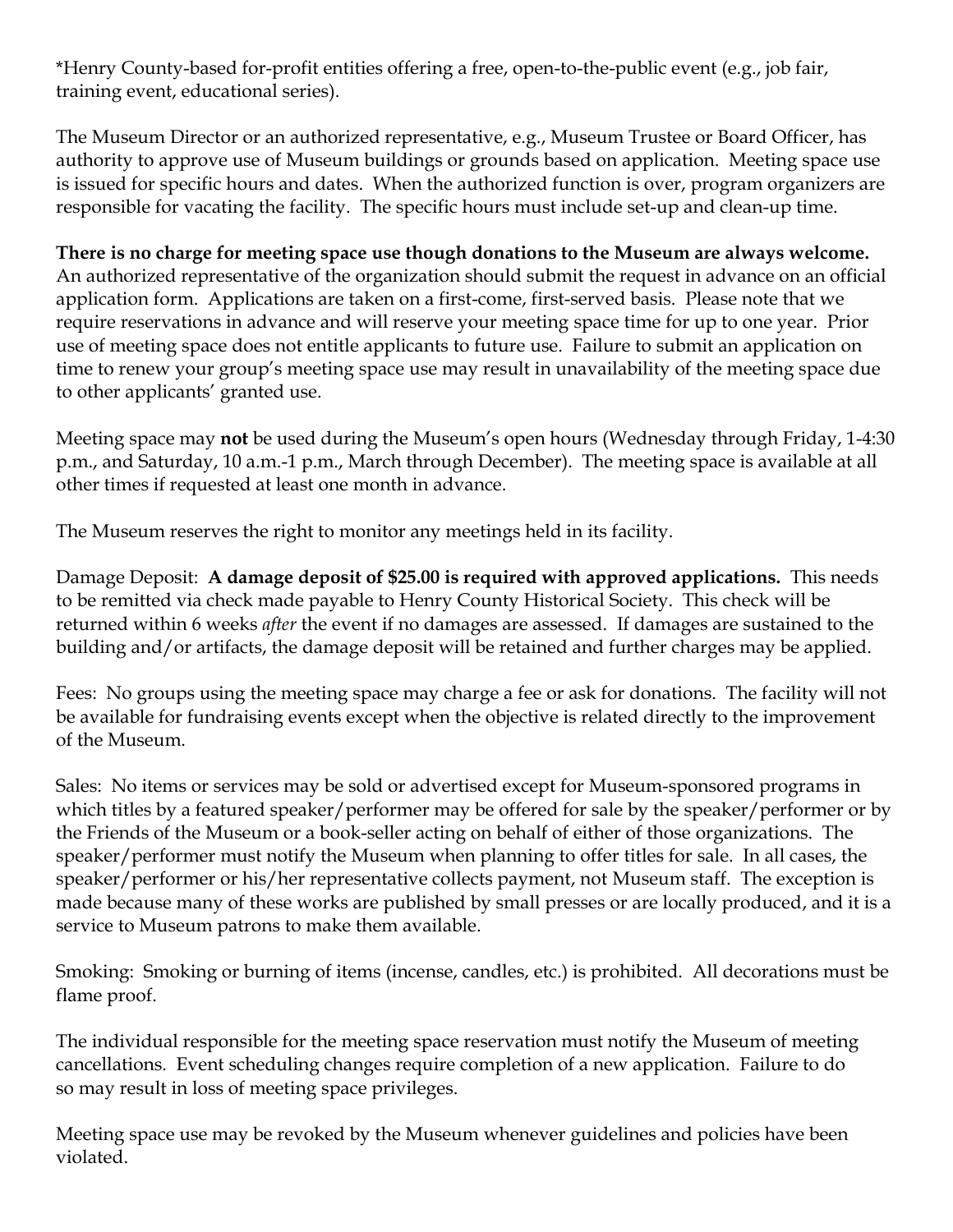\*Henry County-based for-profit entities offering a free, open-to-the-public event (e.g., job fair, training event, educational series).

The Museum Director or an authorized representative, e.g., Museum Trustee or Board Officer, has authority to approve use of Museum buildings or grounds based on application. Meeting space use is issued for specific hours and dates. When the authorized function is over, program organizers are responsible for vacating the facility. The specific hours must include set-up and clean-up time.

**There is no charge for meeting space use though donations to the Museum are always welcome.** An authorized representative of the organization should submit the request in advance on an official application form. Applications are taken on a first-come, first-served basis. Please note that we require reservations in advance and will reserve your meeting space time for up to one year. Prior use of meeting space does not entitle applicants to future use. Failure to submit an application on time to renew your group's meeting space use may result in unavailability of the meeting space due to other applicants' granted use.

Meeting space may **not** be used during the Museum's open hours (Wednesday through Friday, 1-4:30 p.m., and Saturday, 10 a.m.-1 p.m., March through December). The meeting space is available at all other times if requested at least one month in advance.

The Museum reserves the right to monitor any meetings held in its facility.

Damage Deposit: **A damage deposit of \$25.00 is required with approved applications.** This needs to be remitted via check made payable to Henry County Historical Society. This check will be returned within 6 weeks *after* the event if no damages are assessed. If damages are sustained to the building and/or artifacts, the damage deposit will be retained and further charges may be applied.

Fees: No groups using the meeting space may charge a fee or ask for donations. The facility will not be available for fundraising events except when the objective is related directly to the improvement of the Museum.

Sales: No items or services may be sold or advertised except for Museum-sponsored programs in which titles by a featured speaker/performer may be offered for sale by the speaker/performer or by the Friends of the Museum or a book-seller acting on behalf of either of those organizations. The speaker/performer must notify the Museum when planning to offer titles for sale. In all cases, the speaker/performer or his/her representative collects payment, not Museum staff. The exception is made because many of these works are published by small presses or are locally produced, and it is a service to Museum patrons to make them available.

Smoking: Smoking or burning of items (incense, candles, etc.) is prohibited. All decorations must be flame proof.

The individual responsible for the meeting space reservation must notify the Museum of meeting cancellations. Event scheduling changes require completion of a new application. Failure to do so may result in loss of meeting space privileges.

Meeting space use may be revoked by the Museum whenever guidelines and policies have been violated.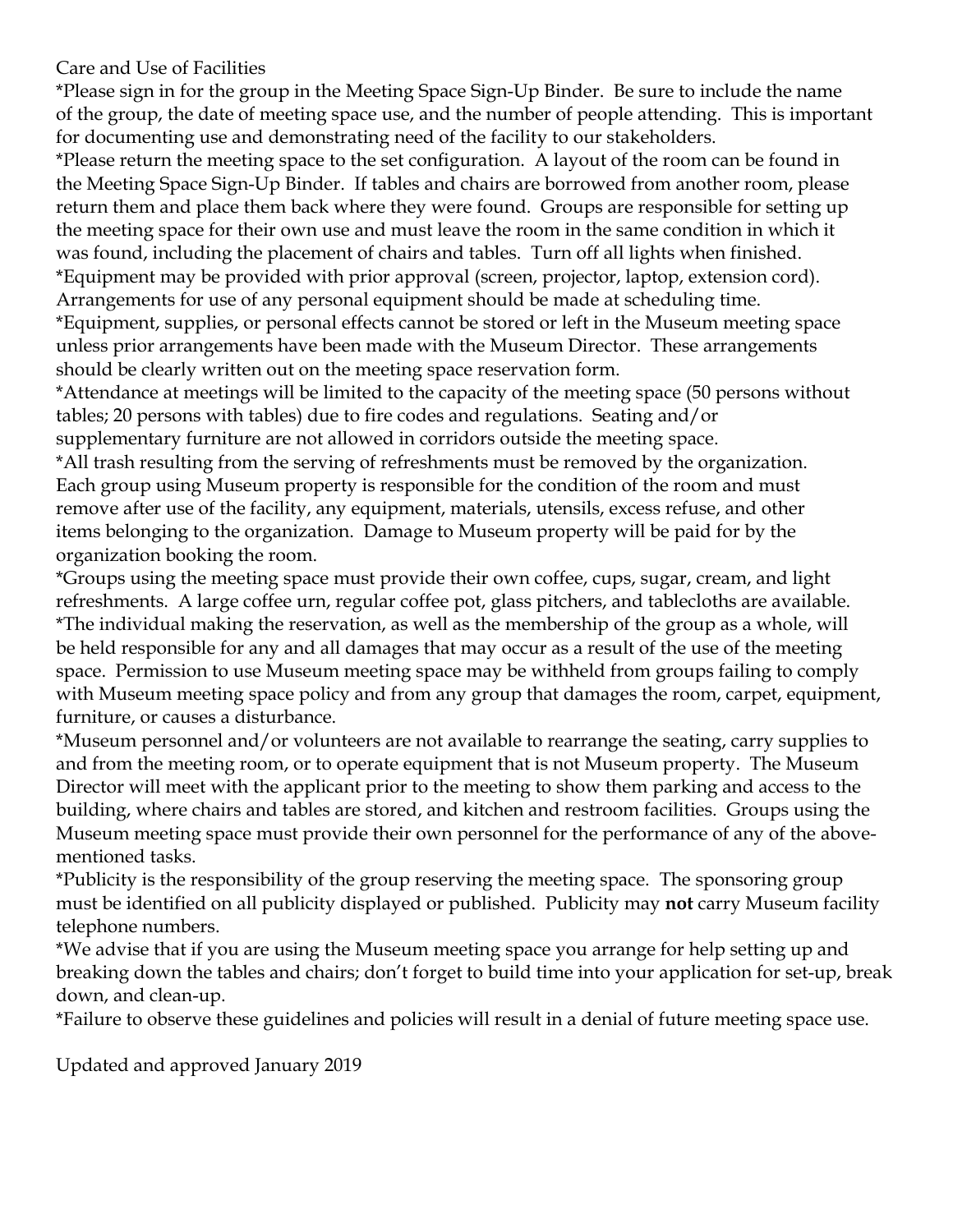Care and Use of Facilities

\*Please sign in for the group in the Meeting Space Sign-Up Binder. Be sure to include the name of the group, the date of meeting space use, and the number of people attending. This is important for documenting use and demonstrating need of the facility to our stakeholders.

\*Please return the meeting space to the set configuration. A layout of the room can be found in the Meeting Space Sign-Up Binder. If tables and chairs are borrowed from another room, please return them and place them back where they were found. Groups are responsible for setting up the meeting space for their own use and must leave the room in the same condition in which it was found, including the placement of chairs and tables. Turn off all lights when finished. \*Equipment may be provided with prior approval (screen, projector, laptop, extension cord). Arrangements for use of any personal equipment should be made at scheduling time.

\*Equipment, supplies, or personal effects cannot be stored or left in the Museum meeting space unless prior arrangements have been made with the Museum Director. These arrangements should be clearly written out on the meeting space reservation form.

\*Attendance at meetings will be limited to the capacity of the meeting space (50 persons without tables; 20 persons with tables) due to fire codes and regulations. Seating and/or supplementary furniture are not allowed in corridors outside the meeting space.

\*All trash resulting from the serving of refreshments must be removed by the organization. Each group using Museum property is responsible for the condition of the room and must remove after use of the facility, any equipment, materials, utensils, excess refuse, and other items belonging to the organization. Damage to Museum property will be paid for by the organization booking the room.

\*Groups using the meeting space must provide their own coffee, cups, sugar, cream, and light refreshments. A large coffee urn, regular coffee pot, glass pitchers, and tablecloths are available. \*The individual making the reservation, as well as the membership of the group as a whole, will be held responsible for any and all damages that may occur as a result of the use of the meeting space. Permission to use Museum meeting space may be withheld from groups failing to comply with Museum meeting space policy and from any group that damages the room, carpet, equipment, furniture, or causes a disturbance.

\*Museum personnel and/or volunteers are not available to rearrange the seating, carry supplies to and from the meeting room, or to operate equipment that is not Museum property. The Museum Director will meet with the applicant prior to the meeting to show them parking and access to the building, where chairs and tables are stored, and kitchen and restroom facilities. Groups using the Museum meeting space must provide their own personnel for the performance of any of the abovementioned tasks.

\*Publicity is the responsibility of the group reserving the meeting space. The sponsoring group must be identified on all publicity displayed or published. Publicity may **not** carry Museum facility telephone numbers.

\*We advise that if you are using the Museum meeting space you arrange for help setting up and breaking down the tables and chairs; don't forget to build time into your application for set-up, break down, and clean-up.

\*Failure to observe these guidelines and policies will result in a denial of future meeting space use.

Updated and approved January 2019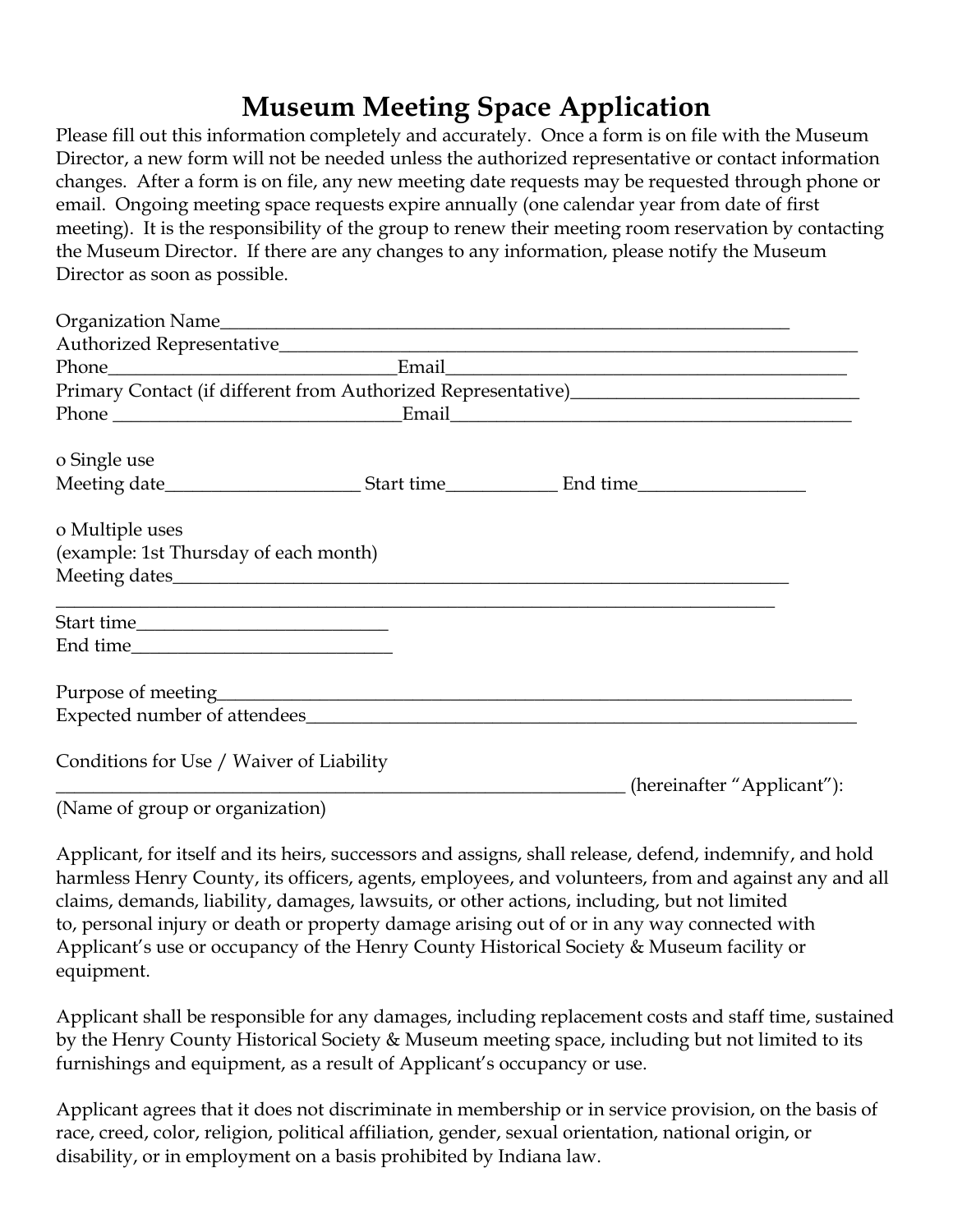## **Museum Meeting Space Application**

Please fill out this information completely and accurately. Once a form is on file with the Museum Director, a new form will not be needed unless the authorized representative or contact information changes. After a form is on file, any new meeting date requests may be requested through phone or email. Ongoing meeting space requests expire annually (one calendar year from date of first meeting). It is the responsibility of the group to renew their meeting room reservation by contacting the Museum Director. If there are any changes to any information, please notify the Museum Director as soon as possible.

|                                          | Primary Contact (if different from Authorized Representative)<br>1988 - The Marian Muslim (1998)<br>2009 - The Muslim (1998)<br>2009 - The Muslim (1998)<br>2009 - The Muslim (1998)<br>2009 - The Muslim (1998)<br>2009 - The Muslim (199 |  |
|------------------------------------------|--------------------------------------------------------------------------------------------------------------------------------------------------------------------------------------------------------------------------------------------|--|
|                                          |                                                                                                                                                                                                                                            |  |
| o Single use                             |                                                                                                                                                                                                                                            |  |
|                                          |                                                                                                                                                                                                                                            |  |
| o Multiple uses                          |                                                                                                                                                                                                                                            |  |
| (example: 1st Thursday of each month)    |                                                                                                                                                                                                                                            |  |
|                                          |                                                                                                                                                                                                                                            |  |
|                                          |                                                                                                                                                                                                                                            |  |
|                                          |                                                                                                                                                                                                                                            |  |
|                                          |                                                                                                                                                                                                                                            |  |
|                                          |                                                                                                                                                                                                                                            |  |
| Conditions for Use / Waiver of Liability | (hereinafter "Applicant"):                                                                                                                                                                                                                 |  |

(Name of group or organization)

Applicant, for itself and its heirs, successors and assigns, shall release, defend, indemnify, and hold harmless Henry County, its officers, agents, employees, and volunteers, from and against any and all claims, demands, liability, damages, lawsuits, or other actions, including, but not limited to, personal injury or death or property damage arising out of or in any way connected with Applicant's use or occupancy of the Henry County Historical Society & Museum facility or equipment.

Applicant shall be responsible for any damages, including replacement costs and staff time, sustained by the Henry County Historical Society & Museum meeting space, including but not limited to its furnishings and equipment, as a result of Applicant's occupancy or use.

Applicant agrees that it does not discriminate in membership or in service provision, on the basis of race, creed, color, religion, political affiliation, gender, sexual orientation, national origin, or disability, or in employment on a basis prohibited by Indiana law.